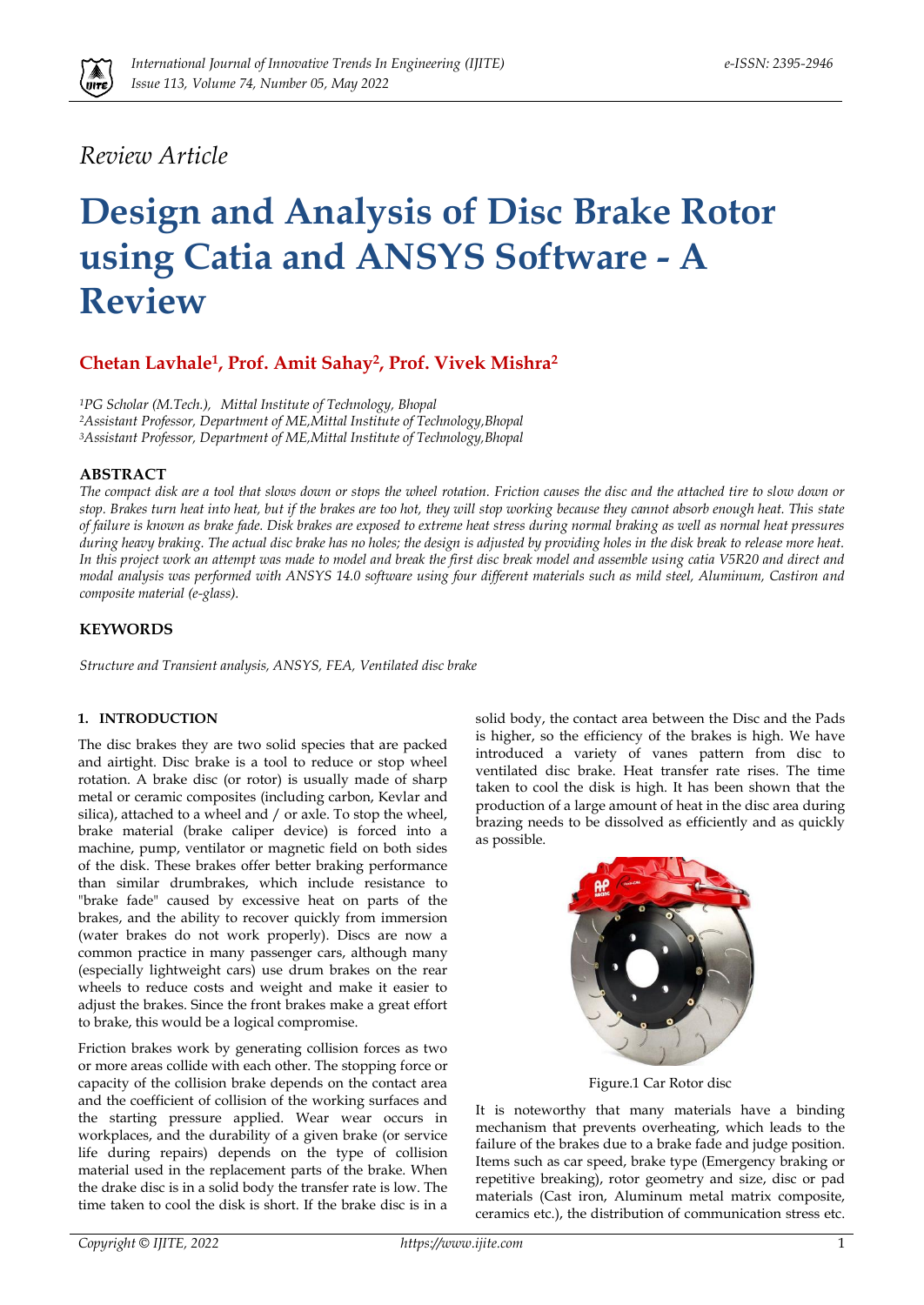

## *Review Article*

# **Design and Analysis of Disc Brake Rotor using Catia and ANSYS Software - A Review**

### **Chetan Lavhale1, Prof. Amit Sahay2, Prof. Vivek Mishra<sup>2</sup>**

*<sup>1</sup>PG Scholar (M.Tech.), Mittal Institute of Technology, Bhopal <sup>2</sup>Assistant Professor, Department of ME,Mittal Institute of Technology,Bhopal <sup>3</sup>Assistant Professor, Department of ME,Mittal Institute of Technology,Bhopal*

#### **ABSTRACT**

*The compact disk are a tool that slows down or stops the wheel rotation. Friction causes the disc and the attached tire to slow down or stop. Brakes turn heat into heat, but if the brakes are too hot, they will stop working because they cannot absorb enough heat. This state of failure is known as brake fade. Disk brakes are exposed to extreme heat stress during normal braking as well as normal heat pressures during heavy braking. The actual disc brake has no holes; the design is adjusted by providing holes in the disk break to release more heat. In this project work an attempt was made to model and break the first disc break model and assemble using catia V5R20 and direct and modal analysis was performed with ANSYS 14.0 software using four different materials such as mild steel, Aluminum, Castiron and composite material (e-glass).*

#### **KEYWORDS**

*Structure and Transient analysis, ANSYS, FEA, Ventilated disc brake*

#### **1. INTRODUCTION**

The disc brakes they are two solid species that are packed and airtight. Disc brake is a tool to reduce or stop wheel rotation. A brake disc (or rotor) is usually made of sharp metal or ceramic composites (including carbon, Kevlar and silica), attached to a wheel and / or axle. To stop the wheel, brake material (brake caliper device) is forced into a machine, pump, ventilator or magnetic field on both sides of the disk. These brakes offer better braking performance than similar drumbrakes, which include resistance to "brake fade" caused by excessive heat on parts of the brakes, and the ability to recover quickly from immersion (water brakes do not work properly). Discs are now a common practice in many passenger cars, although many (especially lightweight cars) use drum brakes on the rear wheels to reduce costs and weight and make it easier to adjust the brakes. Since the front brakes make a great effort to brake, this would be a logical compromise.

Friction brakes work by generating collision forces as two or more areas collide with each other. The stopping force or capacity of the collision brake depends on the contact area and the coefficient of collision of the working surfaces and the starting pressure applied. Wear wear occurs in workplaces, and the durability of a given brake (or service life during repairs) depends on the type of collision material used in the replacement parts of the brake. When the drake disc is in a solid body the transfer rate is low. The time taken to cool the disk is short. If the brake disc is in a solid body, the contact area between the Disc and the Pads is higher, so the efficiency of the brakes is high. We have introduced a variety of vanes pattern from disc to ventilated disc brake. Heat transfer rate rises. The time taken to cool the disk is high. It has been shown that the production of a large amount of heat in the disc area during brazing needs to be dissolved as efficiently and as quickly as possible.



Figure.1 Car Rotor disc

It is noteworthy that many materials have a binding mechanism that prevents overheating, which leads to the failure of the brakes due to a brake fade and judge position. Items such as car speed, brake type (Emergency braking or repetitive breaking), rotor geometry and size, disc or pad materials (Cast iron, Aluminum metal matrix composite, ceramics etc.), the distribution of communication stress etc.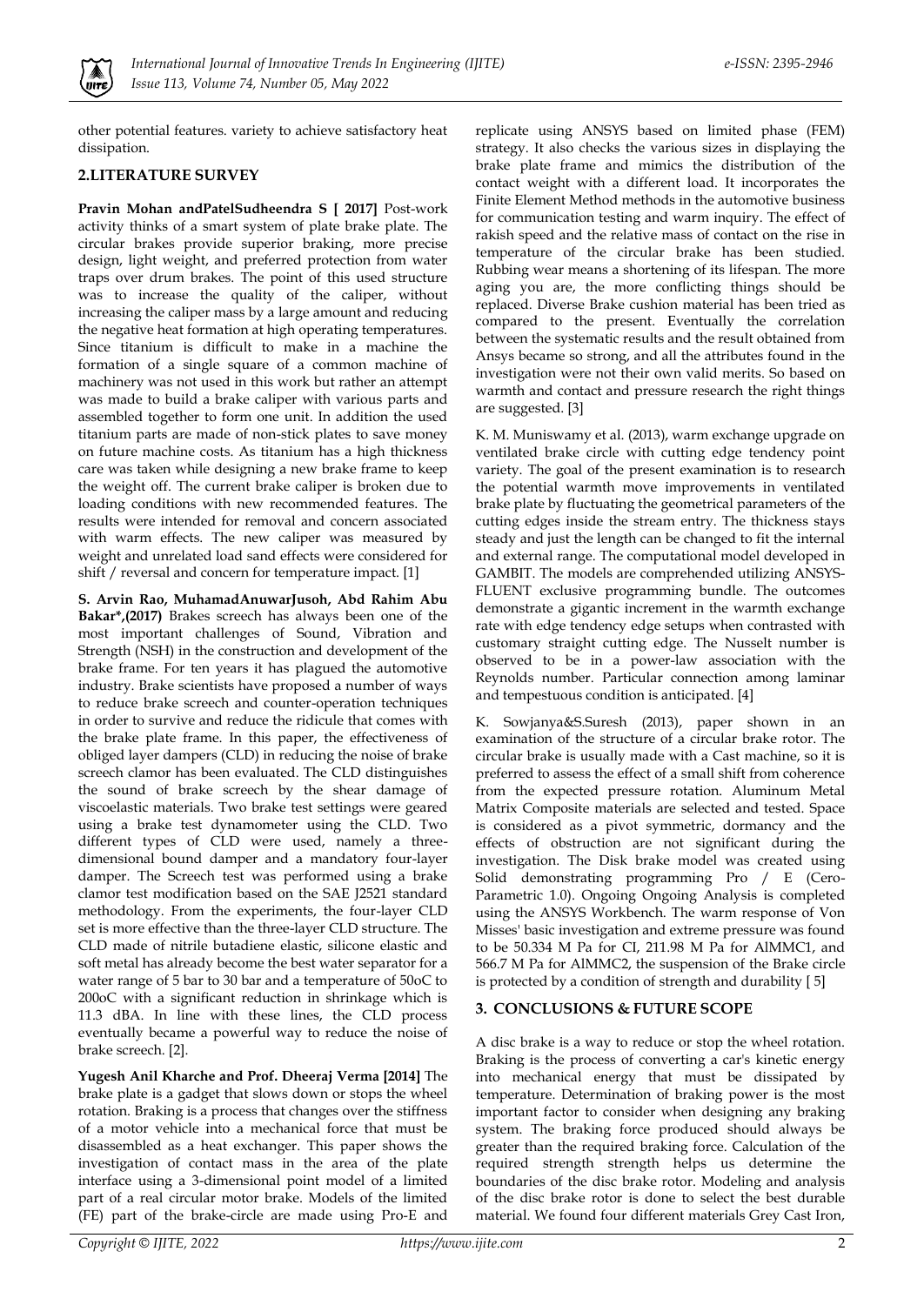

other potential features. variety to achieve satisfactory heat dissipation.

#### **2.LITERATURE SURVEY**

**Pravin Mohan andPatelSudheendra S [ 2017]** Post-work activity thinks of a smart system of plate brake plate. The circular brakes provide superior braking, more precise design, light weight, and preferred protection from water traps over drum brakes. The point of this used structure was to increase the quality of the caliper, without increasing the caliper mass by a large amount and reducing the negative heat formation at high operating temperatures. Since titanium is difficult to make in a machine the formation of a single square of a common machine of machinery was not used in this work but rather an attempt was made to build a brake caliper with various parts and assembled together to form one unit. In addition the used titanium parts are made of non-stick plates to save money on future machine costs. As titanium has a high thickness care was taken while designing a new brake frame to keep the weight off. The current brake caliper is broken due to loading conditions with new recommended features. The results were intended for removal and concern associated with warm effects. The new caliper was measured by weight and unrelated load sand effects were considered for shift / reversal and concern for temperature impact. [1]

**S. Arvin Rao, MuhamadAnuwarJusoh, Abd Rahim Abu Bakar\*,(2017)** Brakes screech has always been one of the most important challenges of Sound, Vibration and Strength (NSH) in the construction and development of the brake frame. For ten years it has plagued the automotive industry. Brake scientists have proposed a number of ways to reduce brake screech and counter-operation techniques in order to survive and reduce the ridicule that comes with the brake plate frame. In this paper, the effectiveness of obliged layer dampers (CLD) in reducing the noise of brake screech clamor has been evaluated. The CLD distinguishes the sound of brake screech by the shear damage of viscoelastic materials. Two brake test settings were geared using a brake test dynamometer using the CLD. Two different types of CLD were used, namely a threedimensional bound damper and a mandatory four-layer damper. The Screech test was performed using a brake clamor test modification based on the SAE J2521 standard methodology. From the experiments, the four-layer CLD set is more effective than the three-layer CLD structure. The CLD made of nitrile butadiene elastic, silicone elastic and soft metal has already become the best water separator for a water range of 5 bar to 30 bar and a temperature of 50oC to 200oC with a significant reduction in shrinkage which is 11.3 dBA. In line with these lines, the CLD process eventually became a powerful way to reduce the noise of brake screech. [2].

**Yugesh Anil Kharche and Prof. Dheeraj Verma [2014]** The brake plate is a gadget that slows down or stops the wheel rotation. Braking is a process that changes over the stiffness of a motor vehicle into a mechanical force that must be disassembled as a heat exchanger. This paper shows the investigation of contact mass in the area of the plate interface using a 3-dimensional point model of a limited part of a real circular motor brake. Models of the limited (FE) part of the brake-circle are made using Pro-E and

replicate using ANSYS based on limited phase (FEM) strategy. It also checks the various sizes in displaying the brake plate frame and mimics the distribution of the contact weight with a different load. It incorporates the Finite Element Method methods in the automotive business for communication testing and warm inquiry. The effect of rakish speed and the relative mass of contact on the rise in temperature of the circular brake has been studied. Rubbing wear means a shortening of its lifespan. The more aging you are, the more conflicting things should be replaced. Diverse Brake cushion material has been tried as compared to the present. Eventually the correlation between the systematic results and the result obtained from Ansys became so strong, and all the attributes found in the investigation were not their own valid merits. So based on warmth and contact and pressure research the right things are suggested. [3]

K. M. Muniswamy et al. (2013), warm exchange upgrade on ventilated brake circle with cutting edge tendency point variety. The goal of the present examination is to research the potential warmth move improvements in ventilated brake plate by fluctuating the geometrical parameters of the cutting edges inside the stream entry. The thickness stays steady and just the length can be changed to fit the internal and external range. The computational model developed in GAMBIT. The models are comprehended utilizing ANSYS-FLUENT exclusive programming bundle. The outcomes demonstrate a gigantic increment in the warmth exchange rate with edge tendency edge setups when contrasted with customary straight cutting edge. The Nusselt number is observed to be in a power-law association with the Reynolds number. Particular connection among laminar and tempestuous condition is anticipated. [4]

K. Sowjanya&S.Suresh (2013), paper shown in an examination of the structure of a circular brake rotor. The circular brake is usually made with a Cast machine, so it is preferred to assess the effect of a small shift from coherence from the expected pressure rotation. Aluminum Metal Matrix Composite materials are selected and tested. Space is considered as a pivot symmetric, dormancy and the effects of obstruction are not significant during the investigation. The Disk brake model was created using Solid demonstrating programming Pro / E (Cero-Parametric 1.0). Ongoing Ongoing Analysis is completed using the ANSYS Workbench. The warm response of Von Misses' basic investigation and extreme pressure was found to be 50.334 M Pa for CI, 211.98 M Pa for AlMMC1, and 566.7 M Pa for AlMMC2, the suspension of the Brake circle is protected by a condition of strength and durability [ 5]

#### **3. CONCLUSIONS & FUTURE SCOPE**

A disc brake is a way to reduce or stop the wheel rotation. Braking is the process of converting a car's kinetic energy into mechanical energy that must be dissipated by temperature. Determination of braking power is the most important factor to consider when designing any braking system. The braking force produced should always be greater than the required braking force. Calculation of the required strength strength helps us determine the boundaries of the disc brake rotor. Modeling and analysis of the disc brake rotor is done to select the best durable material. We found four different materials Grey Cast Iron,